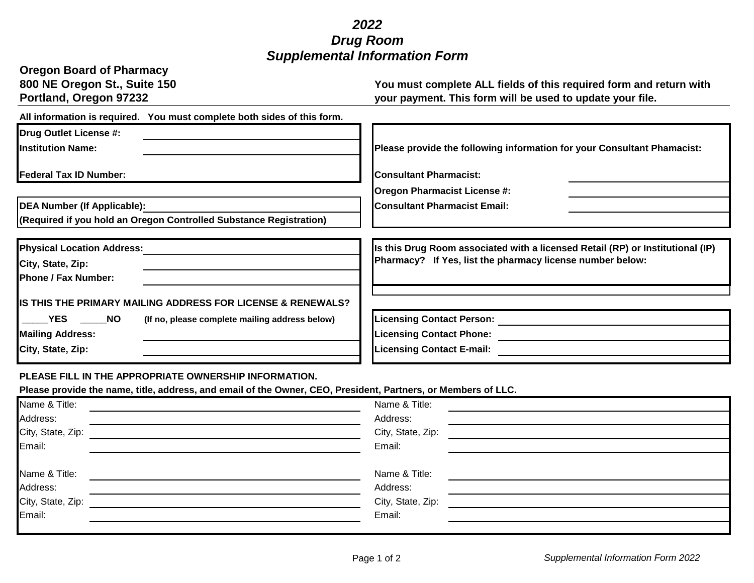## *2022 Drug Room Supplemental Information Form*

| <b>Oregon Board of Pharmacy</b><br>800 NE Oregon St., Suite 150<br>Portland, Oregon 97232 | You must complete ALL fields of this required form and return with<br>your payment. This form will be used to update your file. |
|-------------------------------------------------------------------------------------------|---------------------------------------------------------------------------------------------------------------------------------|
| All information is required. You must complete both sides of this form.                   |                                                                                                                                 |
| <b>Drug Outlet License #:</b>                                                             |                                                                                                                                 |
| <b>Institution Name:</b>                                                                  | Please provide the following information for your Consultant Phamacist:                                                         |
| <b>Federal Tax ID Number:</b>                                                             | <b>Consultant Pharmacist:</b>                                                                                                   |
| <b>DEA Number (If Applicable):</b>                                                        | <b>Oregon Pharmacist License #:</b><br><b>Consultant Pharmacist Email:</b>                                                      |
| (Required if you hold an Oregon Controlled Substance Registration)                        |                                                                                                                                 |
| <b>Physical Location Address:</b>                                                         | Is this Drug Room associated with a licensed Retail (RP) or Institutional (IP)                                                  |
| City, State, Zip:                                                                         | Pharmacy? If Yes, list the pharmacy license number below:                                                                       |
| <b>Phone / Fax Number:</b>                                                                |                                                                                                                                 |
| IS THIS THE PRIMARY MAILING ADDRESS FOR LICENSE & RENEWALS?                               |                                                                                                                                 |
| YES NO<br>(If no, please complete mailing address below)                                  | <b>Licensing Contact Person:</b>                                                                                                |
| <b>Mailing Address:</b>                                                                   | <b>Licensing Contact Phone:</b>                                                                                                 |
| City, State, Zip:                                                                         | <b>Licensing Contact E-mail:</b>                                                                                                |
|                                                                                           |                                                                                                                                 |

## **PLEASE FILL IN THE APPROPRIATE OWNERSHIP INFORMATION.**

**Please provide the name, title, address, and email of the Owner, CEO, President, Partners, or Members of LLC.**

| Name & Title:     | Name & Title:     |  |
|-------------------|-------------------|--|
| Address:          | Address:          |  |
| City, State, Zip: | City, State, Zip: |  |
| Email:            | Email:            |  |
|                   |                   |  |
| Name & Title:     | Name & Title:     |  |
| Address:          | Address:          |  |
|                   |                   |  |
| City, State, Zip: | City, State, Zip: |  |
| Email:            | Email:            |  |